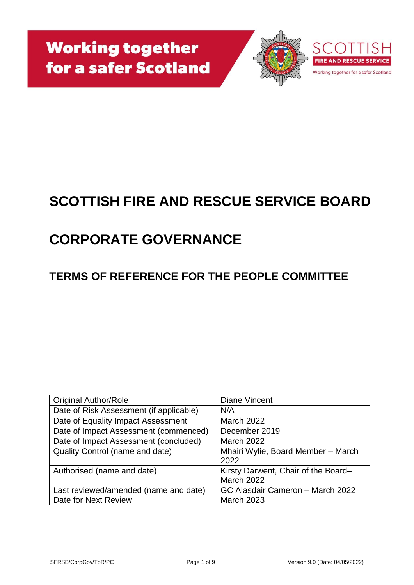



# **SCOTTISH FIRE AND RESCUE SERVICE BOARD**

# **CORPORATE GOVERNANCE**

## **TERMS OF REFERENCE FOR THE PEOPLE COMMITTEE**

| <b>Original Author/Role</b>             | Diane Vincent                       |
|-----------------------------------------|-------------------------------------|
| Date of Risk Assessment (if applicable) | N/A                                 |
| Date of Equality Impact Assessment      | <b>March 2022</b>                   |
| Date of Impact Assessment (commenced)   | December 2019                       |
| Date of Impact Assessment (concluded)   | <b>March 2022</b>                   |
| Quality Control (name and date)         | Mhairi Wylie, Board Member - March  |
|                                         | 2022                                |
| Authorised (name and date)              | Kirsty Darwent, Chair of the Board- |
|                                         | <b>March 2022</b>                   |
| Last reviewed/amended (name and date)   | GC Alasdair Cameron - March 2022    |
| Date for Next Review                    | <b>March 2023</b>                   |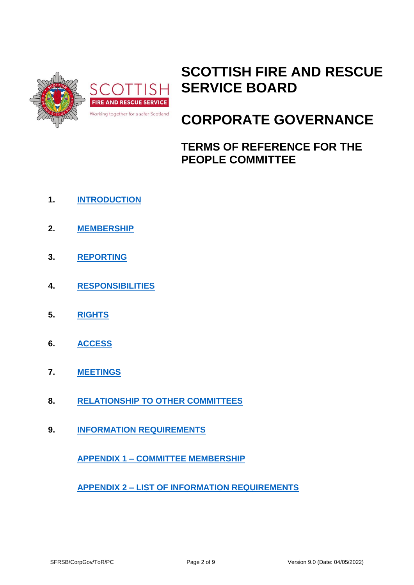

# **SCOTTISH FIRE AND RESCUE SERVICE BOARD**

# **CORPORATE GOVERNANCE**

**TERMS OF REFERENCE FOR THE PEOPLE COMMITTEE**

- **1. [INTRODUCTION](#page-2-0)**
- **2. [MEMBERSHIP](#page-2-1)**
- **3. [REPORTING](#page-3-0)**
- **4. [RESPONSIBILITIES](#page-3-1)**
- **5. [RIGHTS](#page-4-0)**
- **6. [ACCESS](#page-5-0)**
- **7. [MEETINGS](#page-5-1)**
- **8. [RELATIONSHIP TO OTHER COMMITTEES](#page-5-2)**
- **9. [INFORMATION REQUIREMENTS](#page-6-0)**

**APPENDIX 1 – [COMMITTEE MEMBERSHIP](#page-7-0)**

**APPENDIX 2 – [LIST OF INFORMATION REQUIREMENTS](#page-8-0)**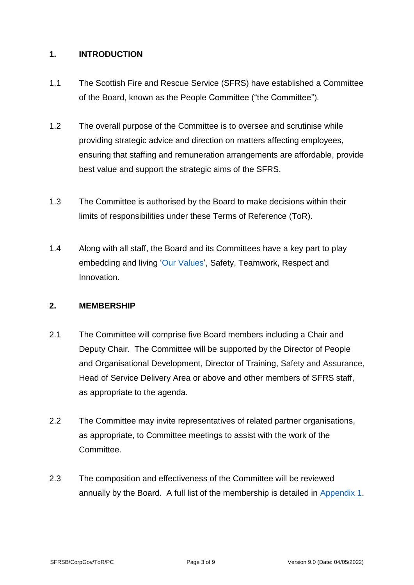#### <span id="page-2-0"></span>**1. INTRODUCTION**

- 1.1 The Scottish Fire and Rescue Service (SFRS) have established a Committee of the Board, known as the People Committee ("the Committee").
- 1.2 The overall purpose of the Committee is to oversee and scrutinise while providing strategic advice and direction on matters affecting employees, ensuring that staffing and remuneration arrangements are affordable, provide best value and support the strategic aims of the SFRS.
- 1.3 The Committee is authorised by the Board to make decisions within their limits of responsibilities under these Terms of Reference (ToR).
- 1.4 Along with all staff, the Board and its Committees have a key part to play embedding and living ['Our Values'](https://www.firescotland.gov.uk/media/1136497/sfrs-values-framework.pdf), Safety, Teamwork, Respect and Innovation.

#### <span id="page-2-1"></span>**2. MEMBERSHIP**

- 2.1 The Committee will comprise five Board members including a Chair and Deputy Chair. The Committee will be supported by the Director of People and Organisational Development, Director of Training, Safety and Assurance, Head of Service Delivery Area or above and other members of SFRS staff, as appropriate to the agenda.
- 2.2 The Committee may invite representatives of related partner organisations, as appropriate, to Committee meetings to assist with the work of the Committee.
- 2.3 The composition and effectiveness of the Committee will be reviewed annually by the Board. A full list of the membership is detailed in [Appendix 1.](#page-7-0)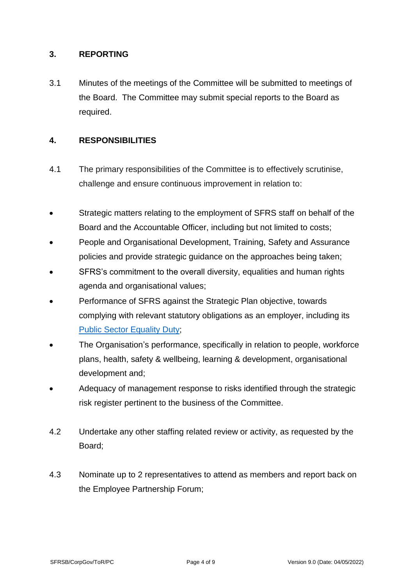#### <span id="page-3-0"></span>**3. REPORTING**

3.1 Minutes of the meetings of the Committee will be submitted to meetings of the Board. The Committee may submit special reports to the Board as required.

#### <span id="page-3-1"></span>**4. RESPONSIBILITIES**

- <span id="page-3-2"></span>4.1 The primary responsibilities of the Committee is to effectively scrutinise, challenge and ensure continuous improvement in relation to:
- Strategic matters relating to the employment of SFRS staff on behalf of the Board and the Accountable Officer, including but not limited to costs;
- People and Organisational Development, Training, Safety and Assurance policies and provide strategic guidance on the approaches being taken;
- SFRS's commitment to the overall diversity, equalities and human rights agenda and organisational values;
- Performance of SFRS against the Strategic Plan objective, towards complying with relevant statutory obligations as an employer, including its [Public Sector](https://www.equalityhumanrights.com/en/public-sector-equality-duty-scotland) Equality Duty;
- The Organisation's performance, specifically in relation to people, workforce plans, health, safety & wellbeing, learning & development, organisational development and;
- Adequacy of management response to risks identified through the strategic risk register pertinent to the business of the Committee.
- 4.2 Undertake any other staffing related review or activity, as requested by the Board;
- 4.3 Nominate up to 2 representatives to attend as members and report back on the Employee Partnership Forum;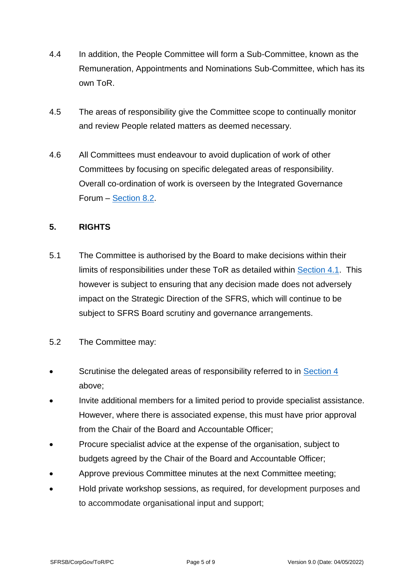- 4.4 In addition, the People Committee will form a Sub-Committee, known as the Remuneration, Appointments and Nominations Sub-Committee, which has its own ToR.
- 4.5 The areas of responsibility give the Committee scope to continually monitor and review People related matters as deemed necessary.
- 4.6 All Committees must endeavour to avoid duplication of work of other Committees by focusing on specific delegated areas of responsibility. Overall co-ordination of work is overseen by the Integrated Governance Forum – [Section 8.2.](#page-6-1)

#### <span id="page-4-0"></span>**5. RIGHTS**

- 5.1 The Committee is authorised by the Board to make decisions within their limits of responsibilities under these ToR as detailed within [Section 4.1.](#page-3-2) This however is subject to ensuring that any decision made does not adversely impact on the Strategic Direction of the SFRS, which will continue to be subject to SFRS Board scrutiny and governance arrangements.
- 5.2 The Committee may:
- Scrutinise the delegated areas of responsibility referred to in [Section 4](#page-3-1) above;
- Invite additional members for a limited period to provide specialist assistance. However, where there is associated expense, this must have prior approval from the Chair of the Board and Accountable Officer;
- Procure specialist advice at the expense of the organisation, subject to budgets agreed by the Chair of the Board and Accountable Officer;
- Approve previous Committee minutes at the next Committee meeting;
- Hold private workshop sessions, as required, for development purposes and to accommodate organisational input and support;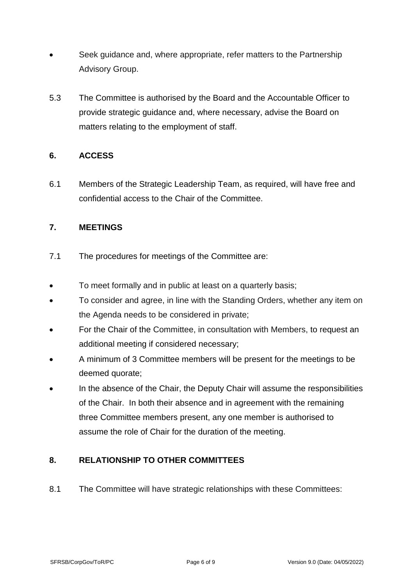- Seek guidance and, where appropriate, refer matters to the Partnership Advisory Group.
- 5.3 The Committee is authorised by the Board and the Accountable Officer to provide strategic guidance and, where necessary, advise the Board on matters relating to the employment of staff.

#### <span id="page-5-0"></span>**6. ACCESS**

6.1 Members of the Strategic Leadership Team, as required, will have free and confidential access to the Chair of the Committee.

### <span id="page-5-1"></span>**7. MEETINGS**

- 7.1 The procedures for meetings of the Committee are:
- To meet formally and in public at least on a quarterly basis;
- To consider and agree, in line with the Standing Orders, whether any item on the Agenda needs to be considered in private;
- For the Chair of the Committee, in consultation with Members, to request an additional meeting if considered necessary;
- A minimum of 3 Committee members will be present for the meetings to be deemed quorate;
- In the absence of the Chair, the Deputy Chair will assume the responsibilities of the Chair. In both their absence and in agreement with the remaining three Committee members present, any one member is authorised to assume the role of Chair for the duration of the meeting.

### <span id="page-5-2"></span>**8. RELATIONSHIP TO OTHER COMMITTEES**

8.1 The Committee will have strategic relationships with these Committees: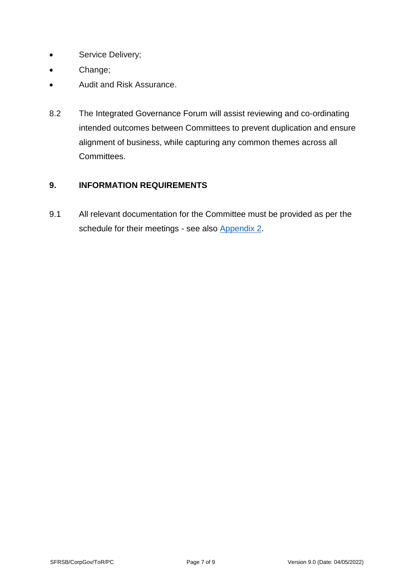- Service Delivery;
- Change;
- Audit and Risk Assurance.
- <span id="page-6-1"></span>8.2 The Integrated Governance Forum will assist reviewing and co-ordinating intended outcomes between Committees to prevent duplication and ensure alignment of business, while capturing any common themes across all Committees.

#### <span id="page-6-0"></span>**9. INFORMATION REQUIREMENTS**

9.1 All relevant documentation for the Committee must be provided as per the schedule for their meetings - see also [Appendix 2.](#page-8-0)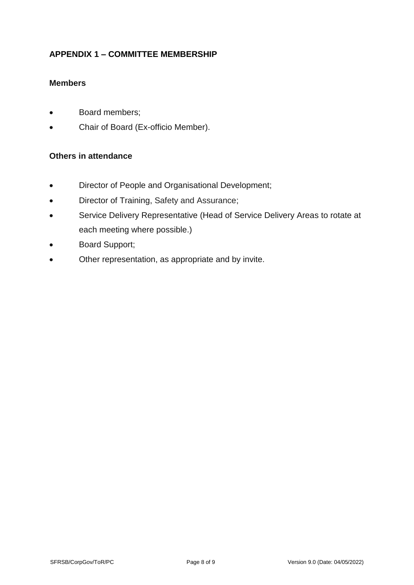### <span id="page-7-0"></span>**APPENDIX 1 – COMMITTEE MEMBERSHIP**

#### **Members**

- Board members;
- Chair of Board (Ex-officio Member).

#### **Others in attendance**

- Director of People and Organisational Development;
- Director of Training, Safety and Assurance;
- Service Delivery Representative (Head of Service Delivery Areas to rotate at each meeting where possible.)
- Board Support;
- Other representation, as appropriate and by invite.